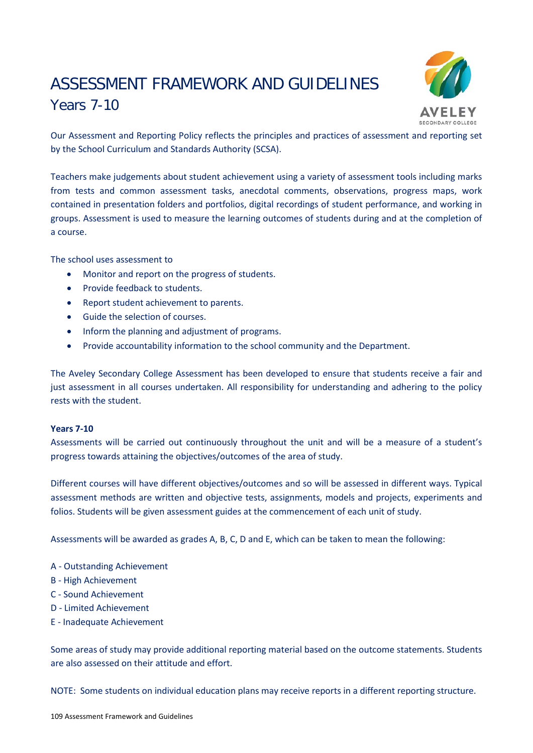# ASSESSMENT FRAMEWORK AND GUIDELINES Years 7-10



Our Assessment and Reporting Policy reflects the principles and practices of assessment and reporting set by the School Curriculum and Standards Authority (SCSA).

Teachers make judgements about student achievement using a variety of assessment tools including marks from tests and common assessment tasks, anecdotal comments, observations, progress maps, work contained in presentation folders and portfolios, digital recordings of student performance, and working in groups. Assessment is used to measure the learning outcomes of students during and at the completion of a course.

The school uses assessment to

- Monitor and report on the progress of students.
- Provide feedback to students.
- Report student achievement to parents.
- Guide the selection of courses.
- Inform the planning and adjustment of programs.
- Provide accountability information to the school community and the Department.

The Aveley Secondary College Assessment has been developed to ensure that students receive a fair and just assessment in all courses undertaken. All responsibility for understanding and adhering to the policy rests with the student.

# **Years 7-10**

Assessments will be carried out continuously throughout the unit and will be a measure of a student's progress towards attaining the objectives/outcomes of the area of study.

Different courses will have different objectives/outcomes and so will be assessed in different ways. Typical assessment methods are written and objective tests, assignments, models and projects, experiments and folios. Students will be given assessment guides at the commencement of each unit of study.

Assessments will be awarded as grades A, B, C, D and E, which can be taken to mean the following:

- A Outstanding Achievement
- B High Achievement
- C Sound Achievement
- D Limited Achievement
- E Inadequate Achievement

Some areas of study may provide additional reporting material based on the outcome statements. Students are also assessed on their attitude and effort.

NOTE: Some students on individual education plans may receive reports in a different reporting structure.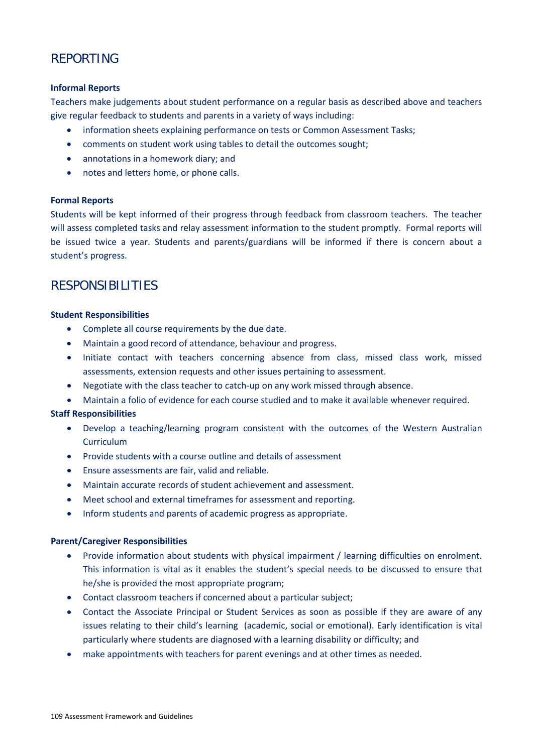# REPORTING

# **Informal Reports**

Teachers make judgements about student performance on a regular basis as described above and teachers give regular feedback to students and parents in a variety of ways including:

- information sheets explaining performance on tests or Common Assessment Tasks;
- comments on student work using tables to detail the outcomes sought;
- annotations in a homework diary; and
- notes and letters home, or phone calls.

# **Formal Reports**

Students will be kept informed of their progress through feedback from classroom teachers. The teacher will assess completed tasks and relay assessment information to the student promptly. Formal reports will be issued twice a year. Students and parents/guardians will be informed if there is concern about a student's progress.

# RESPONSIBILITIES

# **Student Responsibilities**

- Complete all course requirements by the due date.
- Maintain a good record of attendance, behaviour and progress.
- Initiate contact with teachers concerning absence from class, missed class work, missed assessments, extension requests and other issues pertaining to assessment.
- Negotiate with the class teacher to catch-up on any work missed through absence.
- Maintain a folio of evidence for each course studied and to make it available whenever required.

# **Staff Responsibilities**

- Develop a teaching/learning program consistent with the outcomes of the Western Australian Curriculum
- Provide students with a course outline and details of assessment
- Ensure assessments are fair, valid and reliable.
- Maintain accurate records of student achievement and assessment.
- Meet school and external timeframes for assessment and reporting.
- Inform students and parents of academic progress as appropriate.

# **Parent/Caregiver Responsibilities**

- Provide information about students with physical impairment / learning difficulties on enrolment. This information is vital as it enables the student's special needs to be discussed to ensure that he/she is provided the most appropriate program;
- Contact classroom teachers if concerned about a particular subject;
- Contact the Associate Principal or Student Services as soon as possible if they are aware of any issues relating to their child's learning (academic, social or emotional). Early identification is vital particularly where students are diagnosed with a learning disability or difficulty; and
- make appointments with teachers for parent evenings and at other times as needed.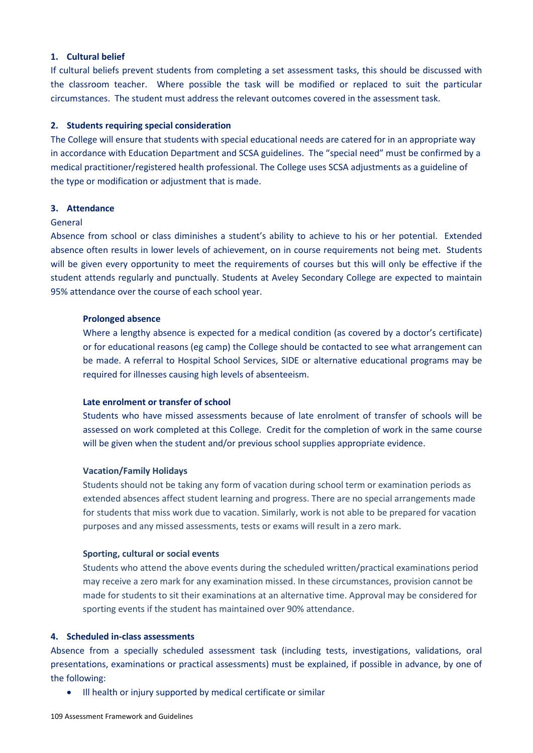# **1. Cultural belief**

If cultural beliefs prevent students from completing a set assessment tasks, this should be discussed with the classroom teacher. Where possible the task will be modified or replaced to suit the particular circumstances. The student must address the relevant outcomes covered in the assessment task.

# **2. Students requiring special consideration**

The College will ensure that students with special educational needs are catered for in an appropriate way in accordance with Education Department and SCSA guidelines. The "special need" must be confirmed by a medical practitioner/registered health professional. The College uses SCSA adjustments as a guideline of the type or modification or adjustment that is made.

#### **3. Attendance**

#### General

Absence from school or class diminishes a student's ability to achieve to his or her potential. Extended absence often results in lower levels of achievement, on in course requirements not being met. Students will be given every opportunity to meet the requirements of courses but this will only be effective if the student attends regularly and punctually. Students at Aveley Secondary College are expected to maintain 95% attendance over the course of each school year.

#### **Prolonged absence**

Where a lengthy absence is expected for a medical condition (as covered by a doctor's certificate) or for educational reasons (eg camp) the College should be contacted to see what arrangement can be made. A referral to Hospital School Services, SIDE or alternative educational programs may be required for illnesses causing high levels of absenteeism.

#### **Late enrolment or transfer of school**

Students who have missed assessments because of late enrolment of transfer of schools will be assessed on work completed at this College. Credit for the completion of work in the same course will be given when the student and/or previous school supplies appropriate evidence.

#### **Vacation/Family Holidays**

Students should not be taking any form of vacation during school term or examination periods as extended absences affect student learning and progress. There are no special arrangements made for students that miss work due to vacation. Similarly, work is not able to be prepared for vacation purposes and any missed assessments, tests or exams will result in a zero mark.

#### **Sporting, cultural or social events**

Students who attend the above events during the scheduled written/practical examinations period may receive a zero mark for any examination missed. In these circumstances, provision cannot be made for students to sit their examinations at an alternative time. Approval may be considered for sporting events if the student has maintained over 90% attendance.

#### **4. Scheduled in-class assessments**

Absence from a specially scheduled assessment task (including tests, investigations, validations, oral presentations, examinations or practical assessments) must be explained, if possible in advance, by one of the following:

• Ill health or injury supported by medical certificate or similar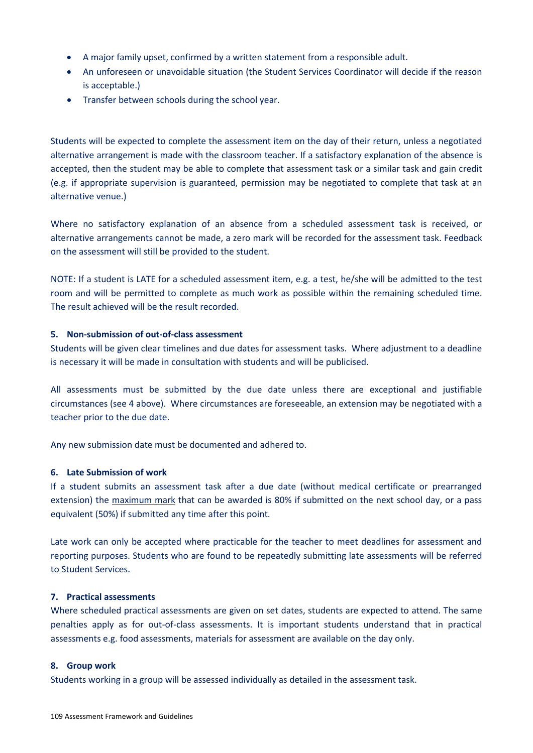- A major family upset, confirmed by a written statement from a responsible adult.
- An unforeseen or unavoidable situation (the Student Services Coordinator will decide if the reason is acceptable.)
- Transfer between schools during the school year.

Students will be expected to complete the assessment item on the day of their return, unless a negotiated alternative arrangement is made with the classroom teacher. If a satisfactory explanation of the absence is accepted, then the student may be able to complete that assessment task or a similar task and gain credit (e.g. if appropriate supervision is guaranteed, permission may be negotiated to complete that task at an alternative venue.)

Where no satisfactory explanation of an absence from a scheduled assessment task is received, or alternative arrangements cannot be made, a zero mark will be recorded for the assessment task. Feedback on the assessment will still be provided to the student.

NOTE: If a student is LATE for a scheduled assessment item, e.g. a test, he/she will be admitted to the test room and will be permitted to complete as much work as possible within the remaining scheduled time. The result achieved will be the result recorded.

# **5. Non-submission of out-of-class assessment**

Students will be given clear timelines and due dates for assessment tasks. Where adjustment to a deadline is necessary it will be made in consultation with students and will be publicised.

All assessments must be submitted by the due date unless there are exceptional and justifiable circumstances (see 4 above). Where circumstances are foreseeable, an extension may be negotiated with a teacher prior to the due date.

Any new submission date must be documented and adhered to.

#### **6. Late Submission of work**

If a student submits an assessment task after a due date (without medical certificate or prearranged extension) the maximum mark that can be awarded is 80% if submitted on the next school day, or a pass equivalent (50%) if submitted any time after this point.

Late work can only be accepted where practicable for the teacher to meet deadlines for assessment and reporting purposes. Students who are found to be repeatedly submitting late assessments will be referred to Student Services.

#### **7. Practical assessments**

Where scheduled practical assessments are given on set dates, students are expected to attend. The same penalties apply as for out-of-class assessments. It is important students understand that in practical assessments e.g. food assessments, materials for assessment are available on the day only.

#### **8. Group work**

Students working in a group will be assessed individually as detailed in the assessment task.